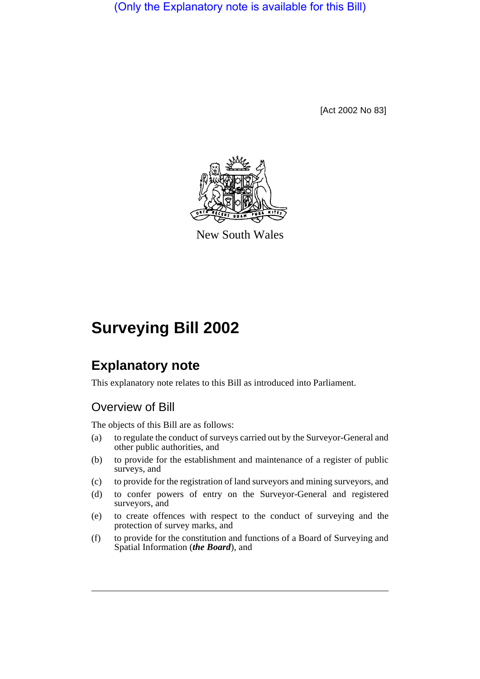(Only the Explanatory note is available for this Bill)

[Act 2002 No 83]



New South Wales

# **Surveying Bill 2002**

# **Explanatory note**

This explanatory note relates to this Bill as introduced into Parliament.

# Overview of Bill

The objects of this Bill are as follows:

- (a) to regulate the conduct of surveys carried out by the Surveyor-General and other public authorities, and
- (b) to provide for the establishment and maintenance of a register of public surveys, and
- (c) to provide for the registration of land surveyors and mining surveyors, and
- (d) to confer powers of entry on the Surveyor-General and registered surveyors, and
- (e) to create offences with respect to the conduct of surveying and the protection of survey marks, and
- (f) to provide for the constitution and functions of a Board of Surveying and Spatial Information (*the Board*), and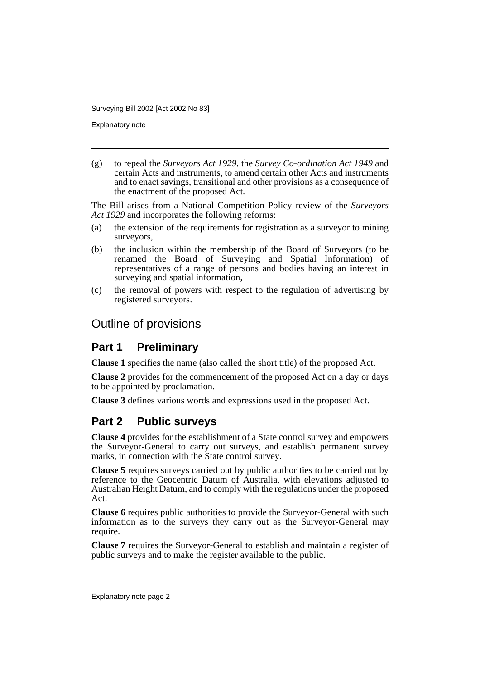Explanatory note

(g) to repeal the *Surveyors Act 1929*, the *Survey Co-ordination Act 1949* and certain Acts and instruments, to amend certain other Acts and instruments and to enact savings, transitional and other provisions as a consequence of the enactment of the proposed Act.

The Bill arises from a National Competition Policy review of the *Surveyors Act 1929* and incorporates the following reforms:

- (a) the extension of the requirements for registration as a surveyor to mining surveyors,
- (b) the inclusion within the membership of the Board of Surveyors (to be renamed the Board of Surveying and Spatial Information) of representatives of a range of persons and bodies having an interest in surveying and spatial information,
- (c) the removal of powers with respect to the regulation of advertising by registered surveyors.

#### Outline of provisions

#### **Part 1 Preliminary**

**Clause 1** specifies the name (also called the short title) of the proposed Act.

**Clause 2** provides for the commencement of the proposed Act on a day or days to be appointed by proclamation.

**Clause 3** defines various words and expressions used in the proposed Act.

#### **Part 2 Public surveys**

**Clause 4** provides for the establishment of a State control survey and empowers the Surveyor-General to carry out surveys, and establish permanent survey marks, in connection with the State control survey.

**Clause 5** requires surveys carried out by public authorities to be carried out by reference to the Geocentric Datum of Australia, with elevations adjusted to Australian Height Datum, and to comply with the regulations under the proposed Act.

**Clause 6** requires public authorities to provide the Surveyor-General with such information as to the surveys they carry out as the Surveyor-General may require.

**Clause 7** requires the Surveyor-General to establish and maintain a register of public surveys and to make the register available to the public.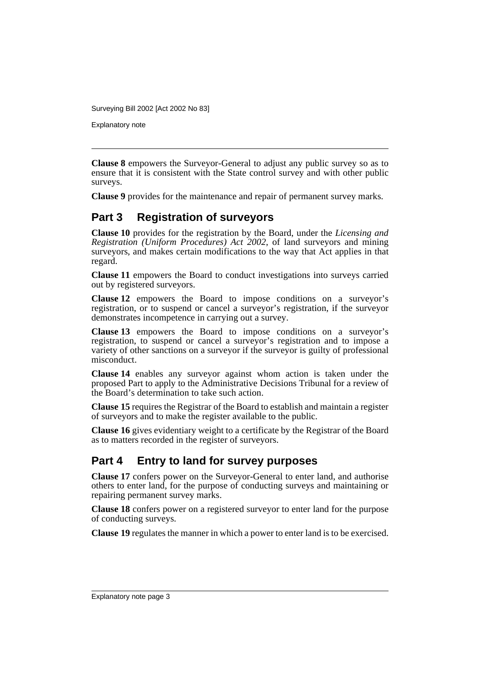Explanatory note

**Clause 8** empowers the Surveyor-General to adjust any public survey so as to ensure that it is consistent with the State control survey and with other public surveys.

**Clause 9** provides for the maintenance and repair of permanent survey marks.

# **Part 3 Registration of surveyors**

**Clause 10** provides for the registration by the Board, under the *Licensing and Registration (Uniform Procedures) Act 2002*, of land surveyors and mining surveyors, and makes certain modifications to the way that Act applies in that regard.

**Clause 11** empowers the Board to conduct investigations into surveys carried out by registered surveyors.

**Clause 12** empowers the Board to impose conditions on a surveyor's registration, or to suspend or cancel a surveyor's registration, if the surveyor demonstrates incompetence in carrying out a survey.

**Clause 13** empowers the Board to impose conditions on a surveyor's registration, to suspend or cancel a surveyor's registration and to impose a variety of other sanctions on a surveyor if the surveyor is guilty of professional misconduct.

**Clause 14** enables any surveyor against whom action is taken under the proposed Part to apply to the Administrative Decisions Tribunal for a review of the Board's determination to take such action.

**Clause 15** requires the Registrar of the Board to establish and maintain a register of surveyors and to make the register available to the public.

**Clause 16** gives evidentiary weight to a certificate by the Registrar of the Board as to matters recorded in the register of surveyors.

#### **Part 4 Entry to land for survey purposes**

**Clause 17** confers power on the Surveyor-General to enter land, and authorise others to enter land, for the purpose of conducting surveys and maintaining or repairing permanent survey marks.

**Clause 18** confers power on a registered surveyor to enter land for the purpose of conducting surveys.

**Clause 19** regulates the manner in which a power to enter land is to be exercised.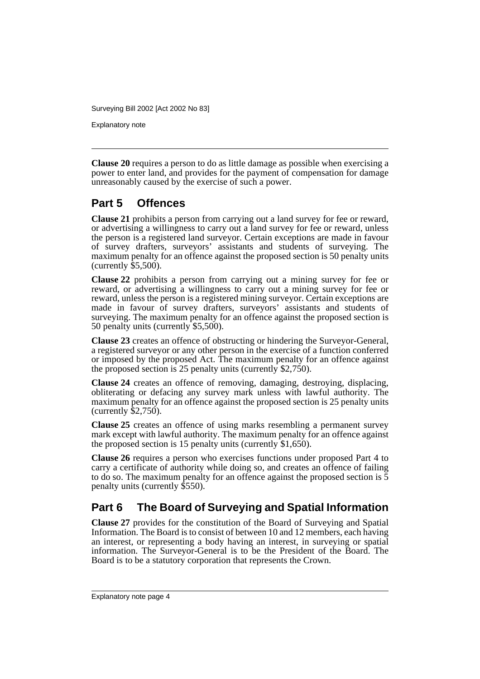Explanatory note

**Clause 20** requires a person to do as little damage as possible when exercising a power to enter land, and provides for the payment of compensation for damage unreasonably caused by the exercise of such a power.

### **Part 5 Offences**

**Clause 21** prohibits a person from carrying out a land survey for fee or reward, or advertising a willingness to carry out a land survey for fee or reward, unless the person is a registered land surveyor. Certain exceptions are made in favour of survey drafters, surveyors' assistants and students of surveying. The maximum penalty for an offence against the proposed section is 50 penalty units (currently  $$5,500$ ).

**Clause 22** prohibits a person from carrying out a mining survey for fee or reward, or advertising a willingness to carry out a mining survey for fee or reward, unless the person is a registered mining surveyor. Certain exceptions are made in favour of survey drafters, surveyors' assistants and students of surveying. The maximum penalty for an offence against the proposed section is 50 penalty units (currently \$5,500).

**Clause 23** creates an offence of obstructing or hindering the Surveyor-General, a registered surveyor or any other person in the exercise of a function conferred or imposed by the proposed Act. The maximum penalty for an offence against the proposed section is 25 penalty units (currently \$2,750).

**Clause 24** creates an offence of removing, damaging, destroying, displacing, obliterating or defacing any survey mark unless with lawful authority. The maximum penalty for an offence against the proposed section is 25 penalty units (currently \$2,750).

**Clause 25** creates an offence of using marks resembling a permanent survey mark except with lawful authority. The maximum penalty for an offence against the proposed section is 15 penalty units (currently  $$1,650$ ).

**Clause 26** requires a person who exercises functions under proposed Part 4 to carry a certificate of authority while doing so, and creates an offence of failing to do so. The maximum penalty for an offence against the proposed section is 5 penalty units (currently \$550).

# **Part 6 The Board of Surveying and Spatial Information**

**Clause 27** provides for the constitution of the Board of Surveying and Spatial Information. The Board is to consist of between 10 and 12 members, each having an interest, or representing a body having an interest, in surveying or spatial information. The Surveyor-General is to be the President of the Board. The Board is to be a statutory corporation that represents the Crown.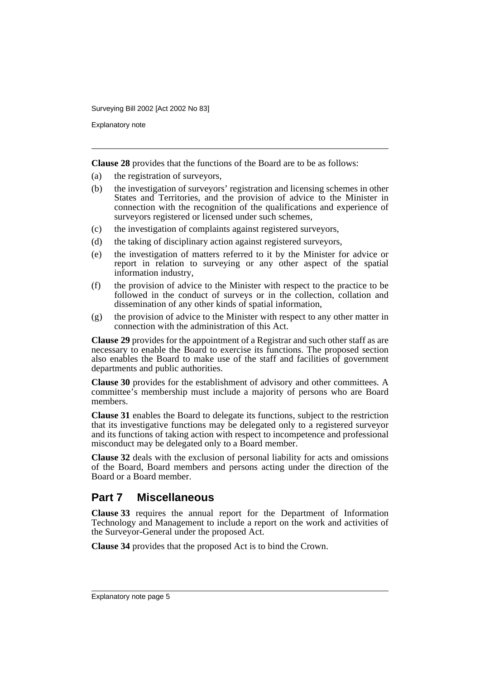Explanatory note

**Clause 28** provides that the functions of the Board are to be as follows:

- (a) the registration of surveyors,
- (b) the investigation of surveyors' registration and licensing schemes in other States and Territories, and the provision of advice to the Minister in connection with the recognition of the qualifications and experience of surveyors registered or licensed under such schemes,
- (c) the investigation of complaints against registered surveyors,
- (d) the taking of disciplinary action against registered surveyors,
- (e) the investigation of matters referred to it by the Minister for advice or report in relation to surveying or any other aspect of the spatial information industry,
- (f) the provision of advice to the Minister with respect to the practice to be followed in the conduct of surveys or in the collection, collation and dissemination of any other kinds of spatial information,
- (g) the provision of advice to the Minister with respect to any other matter in connection with the administration of this Act.

**Clause 29** provides for the appointment of a Registrar and such other staff as are necessary to enable the Board to exercise its functions. The proposed section also enables the Board to make use of the staff and facilities of government departments and public authorities.

**Clause 30** provides for the establishment of advisory and other committees. A committee's membership must include a majority of persons who are Board members.

**Clause 31** enables the Board to delegate its functions, subject to the restriction that its investigative functions may be delegated only to a registered surveyor and its functions of taking action with respect to incompetence and professional misconduct may be delegated only to a Board member.

**Clause 32** deals with the exclusion of personal liability for acts and omissions of the Board, Board members and persons acting under the direction of the Board or a Board member.

#### **Part 7 Miscellaneous**

**Clause 33** requires the annual report for the Department of Information Technology and Management to include a report on the work and activities of the Surveyor-General under the proposed Act.

**Clause 34** provides that the proposed Act is to bind the Crown.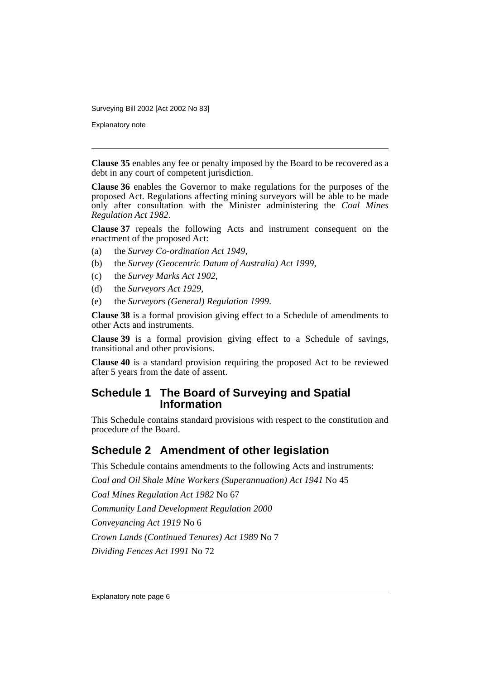Explanatory note

**Clause 35** enables any fee or penalty imposed by the Board to be recovered as a debt in any court of competent jurisdiction.

**Clause 36** enables the Governor to make regulations for the purposes of the proposed Act. Regulations affecting mining surveyors will be able to be made only after consultation with the Minister administering the *Coal Mines Regulation Act 1982*.

**Clause 37** repeals the following Acts and instrument consequent on the enactment of the proposed Act:

- (a) the *Survey Co-ordination Act 1949*,
- (b) the *Survey (Geocentric Datum of Australia) Act 1999*,
- (c) the *Survey Marks Act 1902*,
- (d) the *Surveyors Act 1929*,
- (e) the *Surveyors (General) Regulation 1999*.

**Clause 38** is a formal provision giving effect to a Schedule of amendments to other Acts and instruments.

**Clause 39** is a formal provision giving effect to a Schedule of savings, transitional and other provisions.

**Clause 40** is a standard provision requiring the proposed Act to be reviewed after 5 years from the date of assent.

#### **Schedule 1 The Board of Surveying and Spatial Information**

This Schedule contains standard provisions with respect to the constitution and procedure of the Board.

#### **Schedule 2 Amendment of other legislation**

This Schedule contains amendments to the following Acts and instruments:

*Coal and Oil Shale Mine Workers (Superannuation) Act 1941* No 45

*Coal Mines Regulation Act 1982* No 67

*Community Land Development Regulation 2000*

*Conveyancing Act 1919* No 6

*Crown Lands (Continued Tenures) Act 1989* No 7

*Dividing Fences Act 1991* No 72

Explanatory note page 6